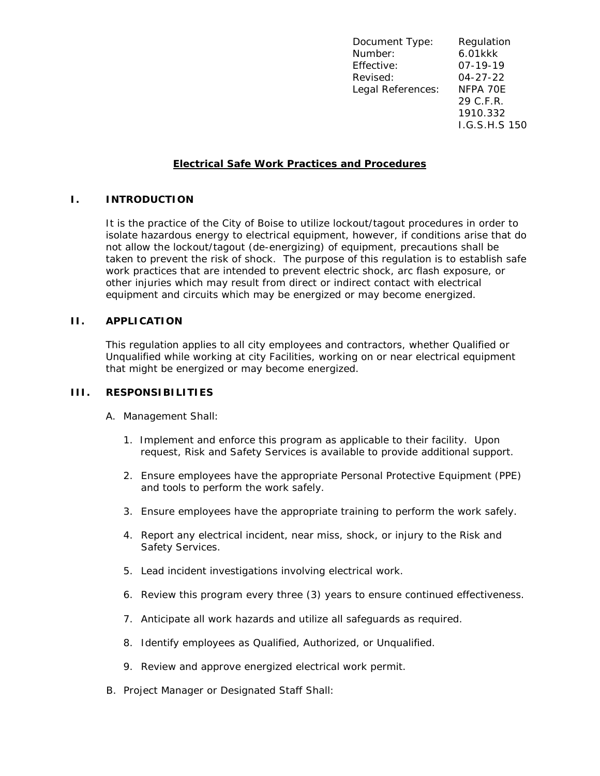Document Type: Regulation Number: 6.01kkk Effective: 07-19-19 Revised: 04-27-22 Legal References: NFPA 70E 29 C.F.R. 1910.332 I.G.S.H.S 150

## **Electrical Safe Work Practices and Procedures**

## **I. INTRODUCTION**

It is the practice of the City of Boise to utilize lockout/tagout procedures in order to isolate hazardous energy to electrical equipment, however, if conditions arise that do not allow the lockout/tagout (de-energizing) of equipment, precautions shall be taken to prevent the risk of shock. The purpose of this regulation is to establish safe work practices that are intended to prevent electric shock, arc flash exposure, or other injuries which may result from direct or indirect contact with electrical equipment and circuits which may be energized or may become energized.

#### **II. APPLICATION**

This regulation applies to all city employees and contractors, whether Qualified or Unqualified while working at city Facilities, working on or near electrical equipment that might be energized or may become energized.

## **III. RESPONSIBILITIES**

A. Management Shall:

- 1. Implement and enforce this program as applicable to their facility. Upon request, Risk and Safety Services is available to provide additional support.
- 2. Ensure employees have the appropriate Personal Protective Equipment (PPE) and tools to perform the work safely.
- 3. Ensure employees have the appropriate training to perform the work safely.
- 4. Report any electrical incident, near miss, shock, or injury to the Risk and Safety Services.
- 5. Lead incident investigations involving electrical work.
- 6. Review this program every three (3) years to ensure continued effectiveness.
- 7. Anticipate all work hazards and utilize all safeguards as required.
- 8. Identify employees as Qualified, Authorized, or Unqualified.
- 9. Review and approve energized electrical work permit.
- B. Project Manager or Designated Staff Shall: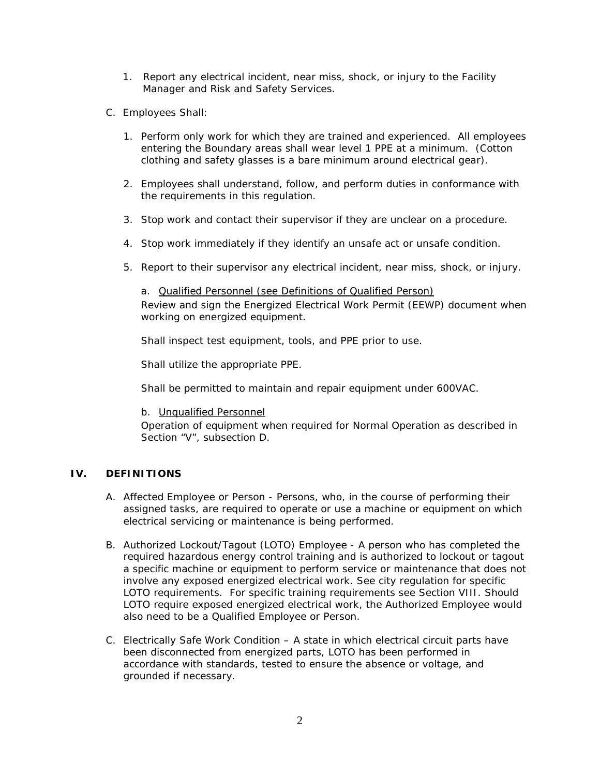- 1. Report any electrical incident, near miss, shock, or injury to the Facility Manager and Risk and Safety Services.
- C. Employees Shall:
	- 1. Perform only work for which they are trained and experienced. All employees entering the Boundary areas shall wear level 1 PPE at a minimum. (Cotton clothing and safety glasses is a bare minimum around electrical gear).
	- 2. Employees shall understand, follow, and perform duties in conformance with the requirements in this regulation.
	- 3. Stop work and contact their supervisor if they are unclear on a procedure.
	- 4. Stop work immediately if they identify an unsafe act or unsafe condition.
	- 5. Report to their supervisor any electrical incident, near miss, shock, or injury.

a. Qualified Personnel (see Definitions of Qualified Person) Review and sign the Energized Electrical Work Permit (EEWP) document when working on energized equipment.

Shall inspect test equipment, tools, and PPE prior to use.

Shall utilize the appropriate PPE.

Shall be permitted to maintain and repair equipment under 600VAC.

b. Unqualified Personnel

Operation of equipment when required for Normal Operation as described in Section "V", subsection D.

## **IV. DEFINITIONS**

- A. *Affected Employee or Person* Persons, who, in the course of performing their assigned tasks, are required to operate or use a machine or equipment on which electrical servicing or maintenance is being performed.
- B. *Authorized Lockout/Tagout (LOTO) Employee* A person who has completed the required hazardous energy control training and is authorized to lockout or tagout a specific machine or equipment to perform service or maintenance that does not involve any exposed energized electrical work. See city regulation for specific LOTO requirements. For specific training requirements see Section VIII. Should LOTO require exposed energized electrical work, the Authorized Employee would also need to be a Qualified Employee or Person.
- C. *Electrically Safe Work Condition* A state in which electrical circuit parts have been disconnected from energized parts, LOTO has been performed in accordance with standards, tested to ensure the absence or voltage, and grounded if necessary.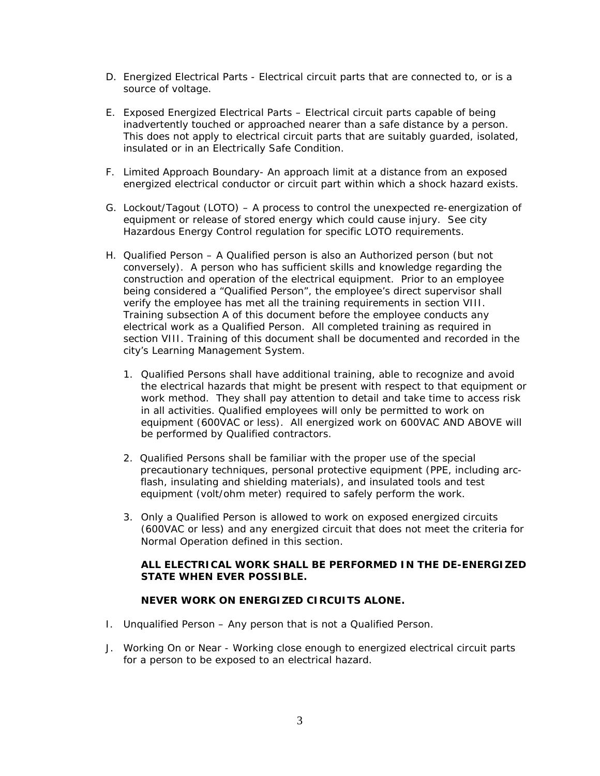- D. *Energized Electrical Parts* Electrical circuit parts that are connected to, or is a source of voltage.
- E. *Exposed Energized Electrical Parts* Electrical circuit parts capable of being inadvertently touched or approached nearer than a safe distance by a person. This does not apply to electrical circuit parts that are suitably guarded, isolated, insulated or in an Electrically Safe Condition.
- F. *Limited Approach Boundary* An approach limit at a distance from an exposed energized electrical conductor or circuit part within which a shock hazard exists.
- G. *Lockout/Tagout (LOTO)* A process to control the unexpected re-energization of equipment or release of stored energy which could cause injury. See city Hazardous Energy Control regulation for specific LOTO requirements.
- H. *Qualified Person* A Qualified person is also an Authorized person (but not conversely). A person who has sufficient skills and knowledge regarding the construction and operation of the electrical equipment. Prior to an employee being considered a "Qualified Person", the employee's direct supervisor shall verify the employee has met all the training requirements in section VIII. Training subsection A of this document before the employee conducts any electrical work as a Qualified Person. All completed training as required in section VIII. Training of this document shall be documented and recorded in the city's Learning Management System.
	- 1. Qualified Persons shall have additional training, able to recognize and avoid the electrical hazards that might be present with respect to that equipment or work method. They shall pay attention to detail and take time to access risk in all activities. Qualified employees will only be permitted to work on equipment (600VAC or less). All energized work on 600VAC AND ABOVE will be performed by Qualified contractors.
	- 2. Qualified Persons shall be familiar with the proper use of the special precautionary techniques, personal protective equipment (PPE, including arc flash, insulating and shielding materials), and insulated tools and test equipment (volt/ohm meter) required to safely perform the work.
	- 3. Only a Qualified Person is allowed to work on exposed energized circuits (600VAC or less) and any energized circuit that does not meet the criteria for Normal Operation defined in this section.

### **ALL ELECTRICAL WORK SHALL BE PERFORMED IN THE DE-ENERGIZED STATE WHEN EVER POSSIBLE.**

#### **NEVER WORK ON ENERGIZED CIRCUITS ALONE.**

- I. *Unqualified Person* Any person that is not a Qualified Person.
- J. *Working On or Near* Working close enough to energized electrical circuit parts for a person to be exposed to an electrical hazard.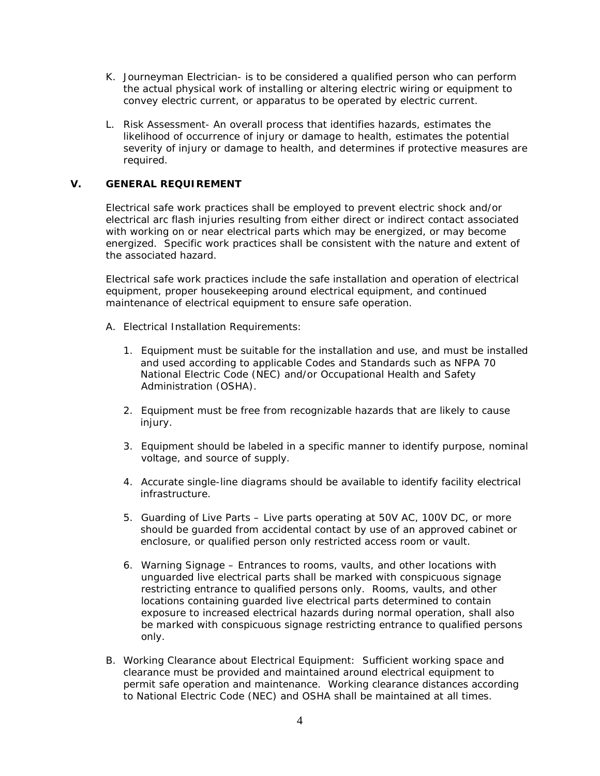- K. *Journeyman Electrician* is to be considered a qualified person who can perform the actual physical work of installing or altering electric wiring or equipment to convey electric current, or apparatus to be operated by electric current.
- L. *Risk Assessment* An overall process that identifies hazards, estimates the likelihood of occurrence of injury or damage to health, estimates the potential severity of injury or damage to health, and determines if protective measures are required.

## **V. GENERAL REQUIREMENT**

Electrical safe work practices shall be employed to prevent electric shock and/or electrical arc flash injuries resulting from either direct or indirect contact associated with working on or near electrical parts which may be energized, or may become energized. Specific work practices shall be consistent with the nature and extent of the associated hazard.

Electrical safe work practices include the safe installation and operation of electrical equipment, proper housekeeping around electrical equipment, and continued maintenance of electrical equipment to ensure safe operation.

- A. Electrical Installation Requirements:
	- 1. Equipment must be suitable for the installation and use, and must be installed and used according to applicable Codes and Standards such as NFPA 70 National Electric Code (NEC) and/or Occupational Health and Safety Administration (OSHA).
	- 2. Equipment must be free from recognizable hazards that are likely to cause injury.
	- 3. Equipment should be labeled in a specific manner to identify purpose, nominal voltage, and source of supply.
	- 4. Accurate single-line diagrams should be available to identify facility electrical infrastructure.
	- 5. Guarding of Live Parts Live parts operating at 50V AC, 100V DC, or more should be guarded from accidental contact by use of an approved cabinet or enclosure, or qualified person only restricted access room or vault.
	- 6. Warning Signage Entrances to rooms, vaults, and other locations with unguarded live electrical parts shall be marked with conspicuous signage restricting entrance to qualified persons only. Rooms, vaults, and other locations containing guarded live electrical parts determined to contain exposure to increased electrical hazards during normal operation, shall also be marked with conspicuous signage restricting entrance to qualified persons only.
- B. Working Clearance about Electrical Equipment: Sufficient working space and clearance must be provided and maintained around electrical equipment to permit safe operation and maintenance. Working clearance distances according to National Electric Code (NEC) and OSHA shall be maintained at all times.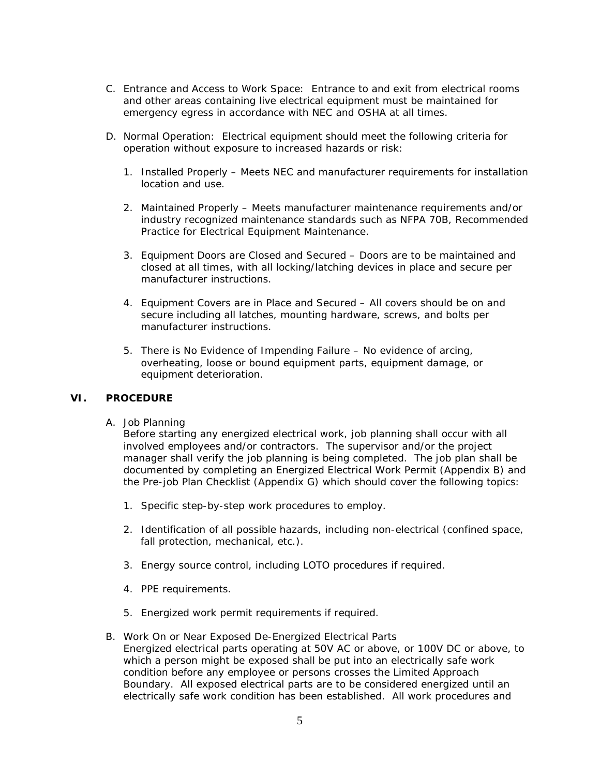- C. Entrance and Access to Work Space: Entrance to and exit from electrical rooms and other areas containing live electrical equipment must be maintained for emergency egress in accordance with NEC and OSHA at all times.
- D. Normal Operation: Electrical equipment should meet the following criteria for operation without exposure to increased hazards or risk:
	- 1. Installed Properly Meets NEC and manufacturer requirements for installation location and use.
	- 2. Maintained Properly Meets manufacturer maintenance requirements and/or industry recognized maintenance standards such as NFPA 70B, Recommended Practice for Electrical Equipment Maintenance.
	- 3. Equipment Doors are Closed and Secured Doors are to be maintained and closed at all times, with all locking/latching devices in place and secure per manufacturer instructions.
	- 4. Equipment Covers are in Place and Secured All covers should be on and secure including all latches, mounting hardware, screws, and bolts per manufacturer instructions.
	- 5. There is No Evidence of Impending Failure No evidence of arcing, overheating, loose or bound equipment parts, equipment damage, or equipment deterioration.

## **VI. PROCEDURE**

A. Job Planning

Before starting any energized electrical work, job planning shall occur with all involved employees and/or contractors. The supervisor and/or the project manager shall verify the job planning is being completed. The job plan shall be documented by completing an Energized Electrical Work Permit (Appendix B) and the Pre-job Plan Checklist (Appendix G) which should cover the following topics:

- 1. Specific step-by-step work procedures to employ.
- 2. Identification of all possible hazards, including non-electrical (confined space, fall protection, mechanical, etc.).
- 3. Energy source control, including LOTO procedures if required.
- 4. PPE requirements.
- 5. Energized work permit requirements if required.
- B. Work On or Near Exposed De-Energized Electrical Parts Energized electrical parts operating at 50V AC or above, or 100V DC or above, to which a person might be exposed shall be put into an electrically safe work condition before any employee or persons crosses the Limited Approach Boundary. All exposed electrical parts are to be considered energized until an electrically safe work condition has been established. All work procedures and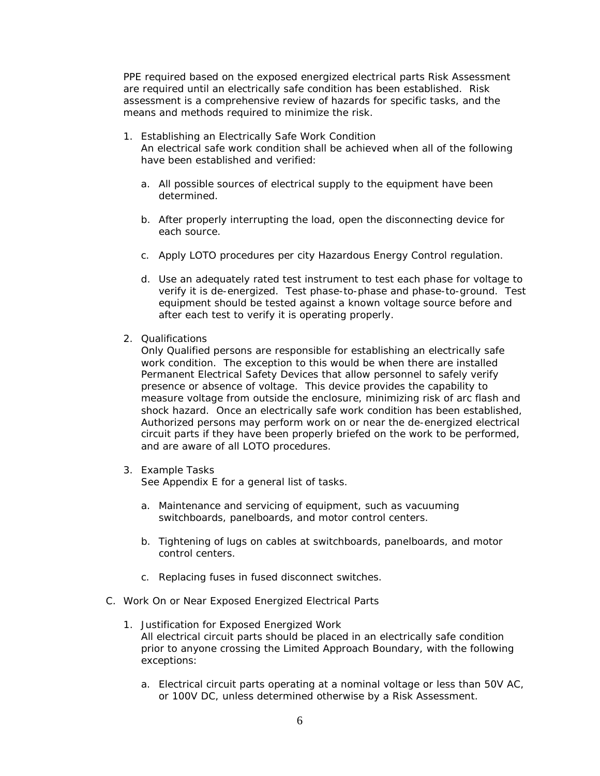PPE required based on the exposed energized electrical parts Risk Assessment are required until an electrically safe condition has been established. Risk assessment is a comprehensive review of hazards for specific tasks, and the means and methods required to minimize the risk.

- 1. Establishing an Electrically Safe Work Condition An electrical safe work condition shall be achieved when all of the following have been established and verified:
	- a. All possible sources of electrical supply to the equipment have been determined.
	- b. After properly interrupting the load, open the disconnecting device for each source.
	- c. Apply LOTO procedures per city Hazardous Energy Control regulation.
	- d. Use an adequately rated test instrument to test each phase for voltage to verify it is de-energized. Test phase-to-phase and phase-to-ground. Test equipment should be tested against a known voltage source before and after each test to verify it is operating properly.
- 2. Qualifications

Only Qualified persons are responsible for establishing an electrically safe work condition. The exception to this would be when there are installed Permanent Electrical Safety Devices that allow personnel to safely verify presence or absence of voltage. This device provides the capability to measure voltage from outside the enclosure, minimizing risk of arc flash and shock hazard. Once an electrically safe work condition has been established, Authorized persons may perform work on or near the de-energized electrical circuit parts if they have been properly briefed on the work to be performed, and are aware of all LOTO procedures.

3. Example Tasks

See Appendix E for a general list of tasks.

- a. Maintenance and servicing of equipment, such as vacuuming switchboards, panelboards, and motor control centers.
- b. Tightening of lugs on cables at switchboards, panelboards, and motor control centers.
- c. Replacing fuses in fused disconnect switches.
- C. Work On or Near Exposed Energized Electrical Parts
	- 1. Justification for Exposed Energized Work All electrical circuit parts should be placed in an electrically safe condition prior to anyone crossing the Limited Approach Boundary, with the following exceptions:
		- a. Electrical circuit parts operating at a nominal voltage or less than 50V AC, or 100V DC, unless determined otherwise by a Risk Assessment.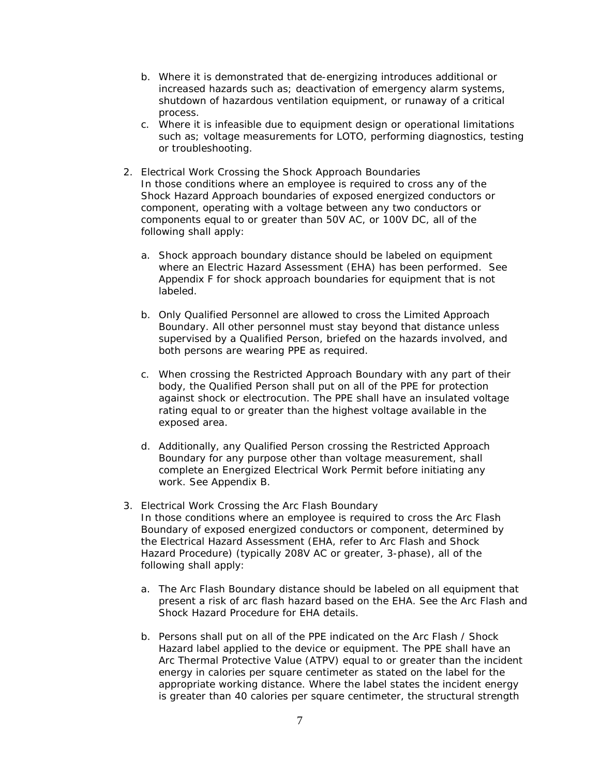- b. Where it is demonstrated that de-energizing introduces additional or increased hazards such as; deactivation of emergency alarm systems, shutdown of hazardous ventilation equipment, or runaway of a critical process.
- c. Where it is infeasible due to equipment design or operational limitations such as; voltage measurements for LOTO, performing diagnostics, testing or troubleshooting.
- 2. Electrical Work Crossing the Shock Approach Boundaries In those conditions where an employee is required to cross any of the Shock Hazard Approach boundaries of exposed energized conductors or component, operating with a voltage between any two conductors or components equal to or greater than 50V AC, or 100V DC, all of the following shall apply:
	- a. Shock approach boundary distance should be labeled on equipment where an Electric Hazard Assessment (EHA) has been performed. See Appendix F for shock approach boundaries for equipment that is not labeled.
	- b. Only Qualified Personnel are allowed to cross the Limited Approach Boundary. All other personnel must stay beyond that distance unless supervised by a Qualified Person, briefed on the hazards involved, and both persons are wearing PPE as required.
	- c. When crossing the Restricted Approach Boundary with any part of their body, the Qualified Person shall put on all of the PPE for protection against shock or electrocution. The PPE shall have an insulated voltage rating equal to or greater than the highest voltage available in the exposed area.
	- d. Additionally, any Qualified Person crossing the Restricted Approach Boundary for any purpose other than voltage measurement, shall complete an Energized Electrical Work Permit before initiating any work. See Appendix B.
- 3. Electrical Work Crossing the Arc Flash Boundary In those conditions where an employee is required to cross the Arc Flash Boundary of exposed energized conductors or component, determined by the Electrical Hazard Assessment (EHA, refer to Arc Flash and Shock Hazard Procedure) (typically 208V AC or greater, 3-phase), all of the following shall apply:
	- a. The Arc Flash Boundary distance should be labeled on all equipment that present a risk of arc flash hazard based on the EHA. See the Arc Flash and Shock Hazard Procedure for EHA details.
	- b. Persons shall put on all of the PPE indicated on the Arc Flash / Shock Hazard label applied to the device or equipment. The PPE shall have an Arc Thermal Protective Value (ATPV) equal to or greater than the incident energy in calories per square centimeter as stated on the label for the appropriate working distance. Where the label states the incident energy is greater than 40 calories per square centimeter, the structural strength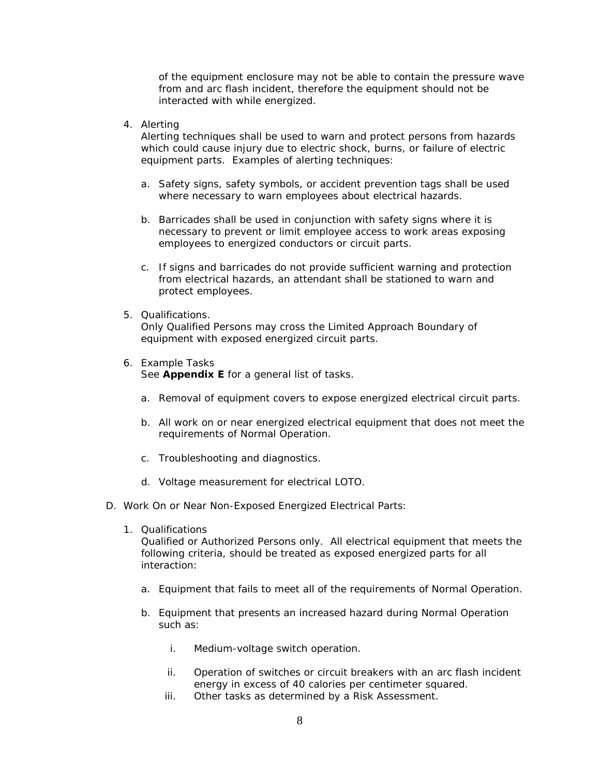of the equipment enclosure may not be able to contain the pressure wave from and arc flash incident, therefore the equipment should not be interacted with while energized.

4. Alerting

Alerting techniques shall be used to warn and protect persons from hazards which could cause injury due to electric shock, burns, or failure of electric equipment parts. Examples of alerting techniques:

- a. Safety signs, safety symbols, or accident prevention tags shall be used where necessary to warn employees about electrical hazards.
- b. Barricades shall be used in conjunction with safety signs where it is necessary to prevent or limit employee access to work areas exposing employees to energized conductors or circuit parts.
- c. If signs and barricades do not provide sufficient warning and protection from electrical hazards, an attendant shall be stationed to warn and protect employees.
- 5. Qualifications.

Only Qualified Persons may cross the Limited Approach Boundary of equipment with exposed energized circuit parts.

6. Example Tasks

See **Appendix E** for a general list of tasks.

- a. Removal of equipment covers to expose energized electrical circuit parts.
- b. All work on or near energized electrical equipment that does not meet the requirements of Normal Operation.
- c. Troubleshooting and diagnostics.
- d. Voltage measurement for electrical LOTO.
- D. Work On or Near Non-Exposed Energized Electrical Parts:
	- 1. Qualifications

Qualified or Authorized Persons only. All electrical equipment that meets the following criteria, should be treated as exposed energized parts for all interaction:

- a. Equipment that fails to meet all of the requirements of Normal Operation.
- b. Equipment that presents an increased hazard during Normal Operation such as:
	- i. Medium-voltage switch operation.
	- ii. Operation of switches or circuit breakers with an arc flash incident energy in excess of 40 calories per centimeter squared.
	- iii. Other tasks as determined by a Risk Assessment.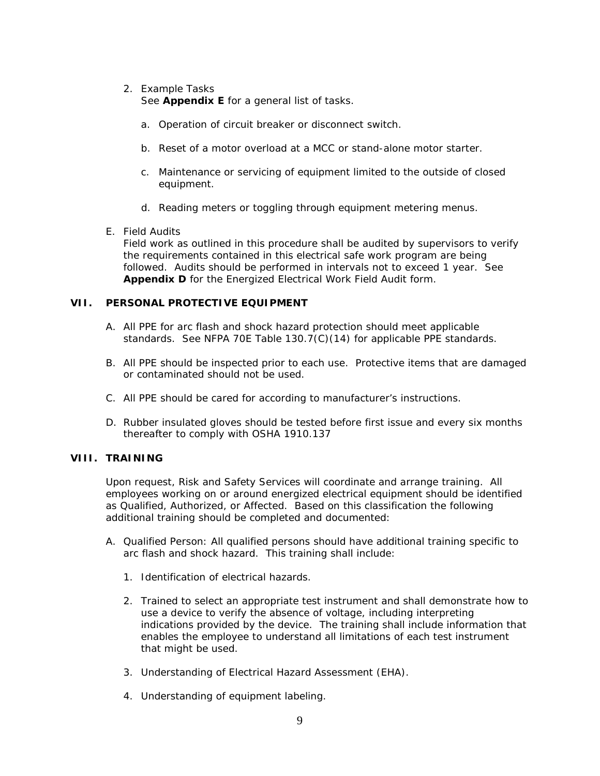## 2. Example Tasks

See **Appendix E** for a general list of tasks.

- a. Operation of circuit breaker or disconnect switch.
- b. Reset of a motor overload at a MCC or stand-alone motor starter.
- c. Maintenance or servicing of equipment limited to the outside of closed equipment.
- d. Reading meters or toggling through equipment metering menus.
- E. Field Audits

Field work as outlined in this procedure shall be audited by supervisors to verify the requirements contained in this electrical safe work program are being followed. Audits should be performed in intervals not to exceed 1 year. See **Appendix D** for the Energized Electrical Work Field Audit form.

## **VII. PERSONAL PROTECTIVE EQUIPMENT**

- A. All PPE for arc flash and shock hazard protection should meet applicable standards. See NFPA 70E Table 130.7(C)(14) for applicable PPE standards.
- B. All PPE should be inspected prior to each use. Protective items that are damaged or contaminated should not be used.
- C. All PPE should be cared for according to manufacturer's instructions.
- D. Rubber insulated gloves should be tested before first issue and every six months thereafter to comply with OSHA 1910.137

## **VIII. TRAINING**

Upon request, Risk and Safety Services will coordinate and arrange training. All employees working on or around energized electrical equipment should be identified as Qualified, Authorized, or Affected. Based on this classification the following additional training should be completed and documented:

- A. Qualified Person: All qualified persons should have additional training specific to arc flash and shock hazard. This training shall include:
	- 1. Identification of electrical hazards.
	- 2. Trained to select an appropriate test instrument and shall demonstrate how to use a device to verify the absence of voltage, including interpreting indications provided by the device. The training shall include information that enables the employee to understand all limitations of each test instrument that might be used.
	- 3. Understanding of Electrical Hazard Assessment (EHA).
	- 4. Understanding of equipment labeling.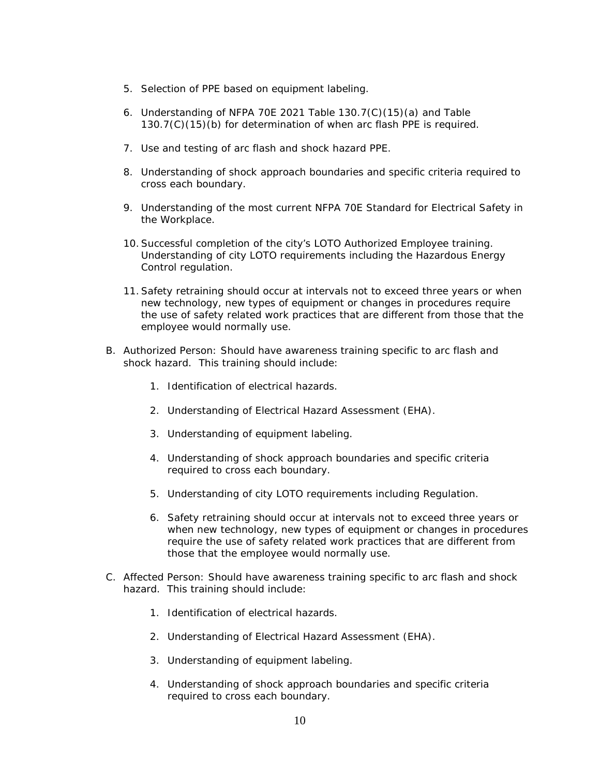- 5. Selection of PPE based on equipment labeling.
- 6. Understanding of NFPA 70E 2021 Table 130.7(C)(15)(a) and Table 130.7(C)(15)(b) for determination of when arc flash PPE is required.
- 7. Use and testing of arc flash and shock hazard PPE.
- 8. Understanding of shock approach boundaries and specific criteria required to cross each boundary.
- 9. Understanding of the most current NFPA 70E Standard for Electrical Safety in the Workplace.
- 10.Successful completion of the city's LOTO Authorized Employee training. Understanding of city LOTO requirements including the Hazardous Energy Control regulation.
- 11.Safety retraining should occur at intervals not to exceed three years or when new technology, new types of equipment or changes in procedures require the use of safety related work practices that are different from those that the employee would normally use.
- B. Authorized Person: Should have awareness training specific to arc flash and shock hazard. This training should include:
	- 1. Identification of electrical hazards.
	- 2. Understanding of Electrical Hazard Assessment (EHA).
	- 3. Understanding of equipment labeling.
	- 4. Understanding of shock approach boundaries and specific criteria required to cross each boundary.
	- 5. Understanding of city LOTO requirements including Regulation.
	- 6. Safety retraining should occur at intervals not to exceed three years or when new technology, new types of equipment or changes in procedures require the use of safety related work practices that are different from those that the employee would normally use.
- C. Affected Person: Should have awareness training specific to arc flash and shock hazard. This training should include:
	- 1. Identification of electrical hazards.
	- 2. Understanding of Electrical Hazard Assessment (EHA).
	- 3. Understanding of equipment labeling.
	- 4. Understanding of shock approach boundaries and specific criteria required to cross each boundary.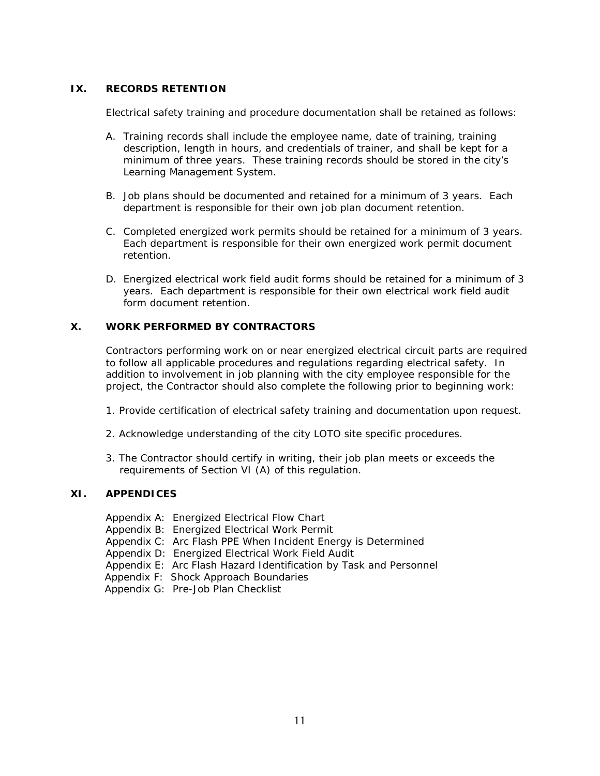## **IX. RECORDS RETENTION**

Electrical safety training and procedure documentation shall be retained as follows:

- A. Training records shall include the employee name, date of training, training description, length in hours, and credentials of trainer, and shall be kept for a minimum of three years. These training records should be stored in the city's Learning Management System.
- B. Job plans should be documented and retained for a minimum of 3 years. Each department is responsible for their own job plan document retention.
- C. Completed energized work permits should be retained for a minimum of 3 years. Each department is responsible for their own energized work permit document retention.
- D. Energized electrical work field audit forms should be retained for a minimum of 3 years. Each department is responsible for their own electrical work field audit form document retention.

## **X. WORK PERFORMED BY CONTRACTORS**

Contractors performing work on or near energized electrical circuit parts are required to follow all applicable procedures and regulations regarding electrical safety. In addition to involvement in job planning with the city employee responsible for the project, the Contractor should also complete the following prior to beginning work:

- 1. Provide certification of electrical safety training and documentation upon request.
- 2. Acknowledge understanding of the city LOTO site specific procedures.
- 3. The Contractor should certify in writing, their job plan meets or exceeds the requirements of Section VI (A) of this regulation.

## **XI. APPENDICES**

- Appendix A: Energized Electrical Flow Chart
- Appendix B: Energized Electrical Work Permit
- Appendix C: Arc Flash PPE When Incident Energy is Determined
- Appendix D: Energized Electrical Work Field Audit
- Appendix E: Arc Flash Hazard Identification by Task and Personnel
- Appendix F: Shock Approach Boundaries
- Appendix G: Pre-Job Plan Checklist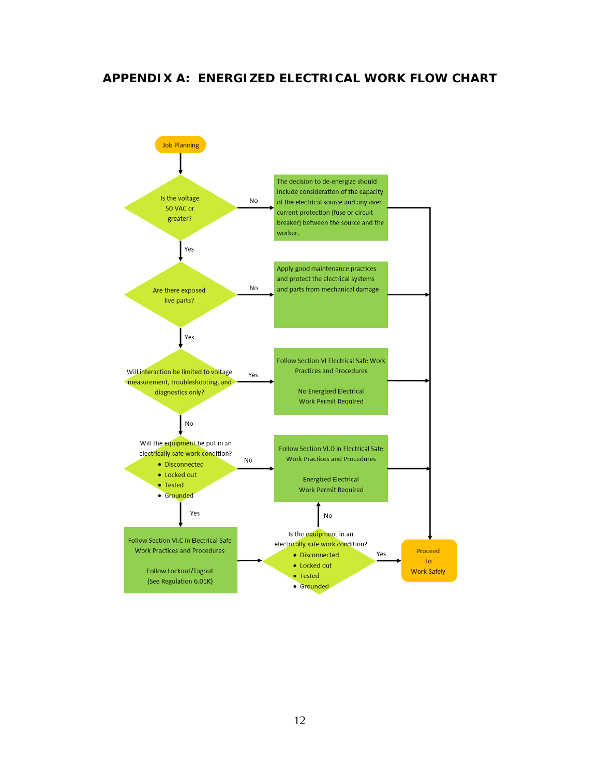## **APPENDIX A: ENERGIZED ELECTRICAL WORK FLOW CHART**

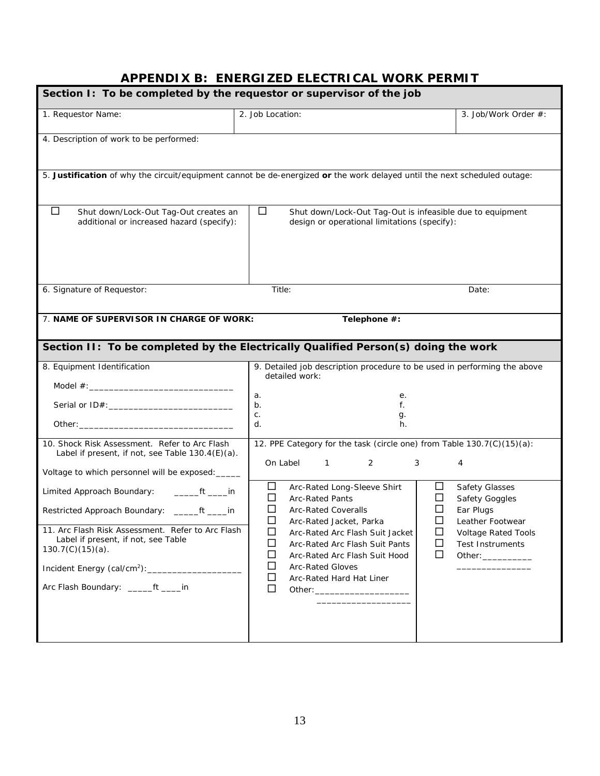# **APPENDIX B: ENERGIZED ELECTRICAL WORK PERMIT**

| Section I: To be completed by the requestor or supervisor of the job                                                                                                                                                                                                                                                                                |                                                                                                                                                                                                                                                                                                                                                                                           |                                                                                                                                   |  |  |  |
|-----------------------------------------------------------------------------------------------------------------------------------------------------------------------------------------------------------------------------------------------------------------------------------------------------------------------------------------------------|-------------------------------------------------------------------------------------------------------------------------------------------------------------------------------------------------------------------------------------------------------------------------------------------------------------------------------------------------------------------------------------------|-----------------------------------------------------------------------------------------------------------------------------------|--|--|--|
| 1. Requestor Name:                                                                                                                                                                                                                                                                                                                                  | 2. Job Location:                                                                                                                                                                                                                                                                                                                                                                          | 3. Job/Work Order #:                                                                                                              |  |  |  |
| 4. Description of work to be performed:                                                                                                                                                                                                                                                                                                             |                                                                                                                                                                                                                                                                                                                                                                                           |                                                                                                                                   |  |  |  |
|                                                                                                                                                                                                                                                                                                                                                     | 5. Justification of why the circuit/equipment cannot be de-energized or the work delayed until the next scheduled outage:                                                                                                                                                                                                                                                                 |                                                                                                                                   |  |  |  |
| $\Box$<br>Shut down/Lock-Out Tag-Out creates an<br>additional or increased hazard (specify):                                                                                                                                                                                                                                                        | $\Box$<br>Shut down/Lock-Out Tag-Out is infeasible due to equipment<br>design or operational limitations (specify):                                                                                                                                                                                                                                                                       |                                                                                                                                   |  |  |  |
| 6. Signature of Requestor:                                                                                                                                                                                                                                                                                                                          | Title:                                                                                                                                                                                                                                                                                                                                                                                    | Date:                                                                                                                             |  |  |  |
| 7. NAME OF SUPERVISOR IN CHARGE OF WORK:                                                                                                                                                                                                                                                                                                            | Telephone #:                                                                                                                                                                                                                                                                                                                                                                              |                                                                                                                                   |  |  |  |
|                                                                                                                                                                                                                                                                                                                                                     | Section II: To be completed by the Electrically Qualified Person(s) doing the work                                                                                                                                                                                                                                                                                                        |                                                                                                                                   |  |  |  |
| 8. Equipment Identification                                                                                                                                                                                                                                                                                                                         | 9. Detailed job description procedure to be used in performing the above<br>detailed work:<br>a.<br>е.<br>b.<br>f.<br>C.<br>g.<br>d.<br>h.                                                                                                                                                                                                                                                |                                                                                                                                   |  |  |  |
| 10. Shock Risk Assessment. Refer to Arc Flash<br>Label if present, if not, see Table 130.4(E)(a).<br>Voltage to which personnel will be exposed:                                                                                                                                                                                                    | 12. PPE Category for the task (circle one) from Table 130.7(C)(15)(a):<br>On Label<br>2<br>3<br>$\mathbf{1}$                                                                                                                                                                                                                                                                              | 4                                                                                                                                 |  |  |  |
| Limited Approach Boundary:<br>$\rule{1em}{0.15mm}$ ft $\rule{1em}{0.15mm}$ in<br>Restricted Approach Boundary: ______ft ____in<br>11. Arc Flash Risk Assessment. Refer to Arc Flash<br>Label if present, if not, see Table<br>$130.7(C)(15)(a)$ .<br>Incident Energy (cal/cm <sup>2</sup> ): ______________<br>Arc Flash Boundary: ______ft _____in | ப<br>$\Box$<br>Arc-Rated Long-Sleeve Shirt<br>$\Box$<br><b>Arc-Rated Pants</b><br>□<br>□<br>□<br><b>Arc-Rated Coveralls</b><br>$\Box$<br>□<br>Arc-Rated Jacket, Parka<br>□<br>□<br>Arc-Rated Arc Flash Suit Jacket<br>ப<br>$\Box$<br>Arc-Rated Arc Flash Suit Pants<br>□<br>Ш<br>Arc-Rated Arc Flash Suit Hood<br>$\Box$<br><b>Arc-Rated Gloves</b><br>□<br>Arc-Rated Hard Hat Liner<br>□ | <b>Safety Glasses</b><br>Safety Goggles<br>Ear Plugs<br>Leather Footwear<br><b>Voltage Rated Tools</b><br><b>Test Instruments</b> |  |  |  |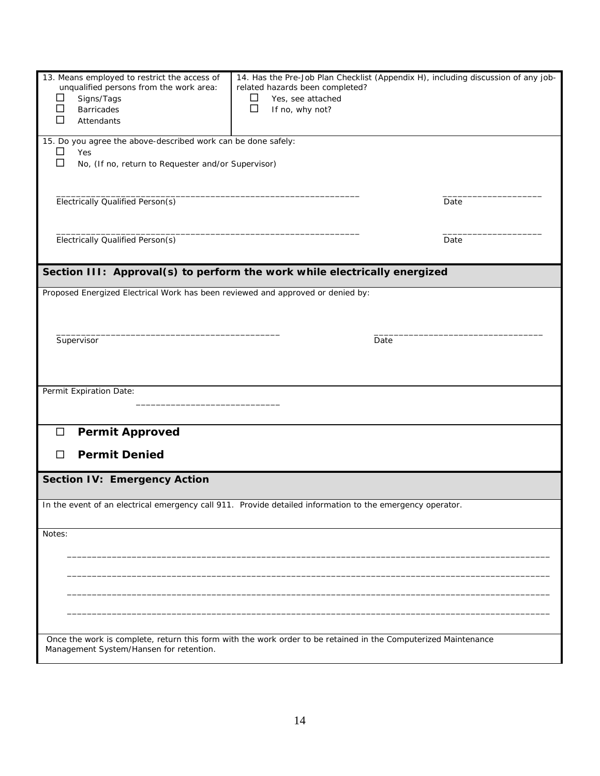| 13. Means employed to restrict the access of<br>unqualified persons from the work area:<br>Signs/Tags<br>⊔<br>□<br><b>Barricades</b><br>$\Box$<br>Attendants | related hazards been completed?<br>$\Box$<br>Yes, see attached<br>$\Box$<br>If no, why not? | 14. Has the Pre-Job Plan Checklist (Appendix H), including discussion of any job- |
|--------------------------------------------------------------------------------------------------------------------------------------------------------------|---------------------------------------------------------------------------------------------|-----------------------------------------------------------------------------------|
| 15. Do you agree the above-described work can be done safely:<br>□<br>Yes<br>$\Box$<br>No, (If no, return to Requester and/or Supervisor)                    |                                                                                             |                                                                                   |
| Electrically Qualified Person(s)                                                                                                                             |                                                                                             | Date                                                                              |
| Electrically Qualified Person(s)                                                                                                                             |                                                                                             | Date                                                                              |
| Section III: Approval(s) to perform the work while electrically energized                                                                                    |                                                                                             |                                                                                   |
| Proposed Energized Electrical Work has been reviewed and approved or denied by:                                                                              |                                                                                             |                                                                                   |
| Supervisor                                                                                                                                                   |                                                                                             | Date                                                                              |
| Permit Expiration Date:                                                                                                                                      |                                                                                             |                                                                                   |
| <b>Permit Approved</b><br>$\Box$<br><b>Permit Denied</b><br>□                                                                                                |                                                                                             |                                                                                   |
| <b>Section IV: Emergency Action</b>                                                                                                                          |                                                                                             |                                                                                   |
| In the event of an electrical emergency call 911. Provide detailed information to the emergency operator.                                                    |                                                                                             |                                                                                   |
| Notes:                                                                                                                                                       |                                                                                             |                                                                                   |
|                                                                                                                                                              |                                                                                             |                                                                                   |
| Once the work is complete, return this form with the work order to be retained in the Computerized Maintenance<br>Management System/Hansen for retention.    |                                                                                             |                                                                                   |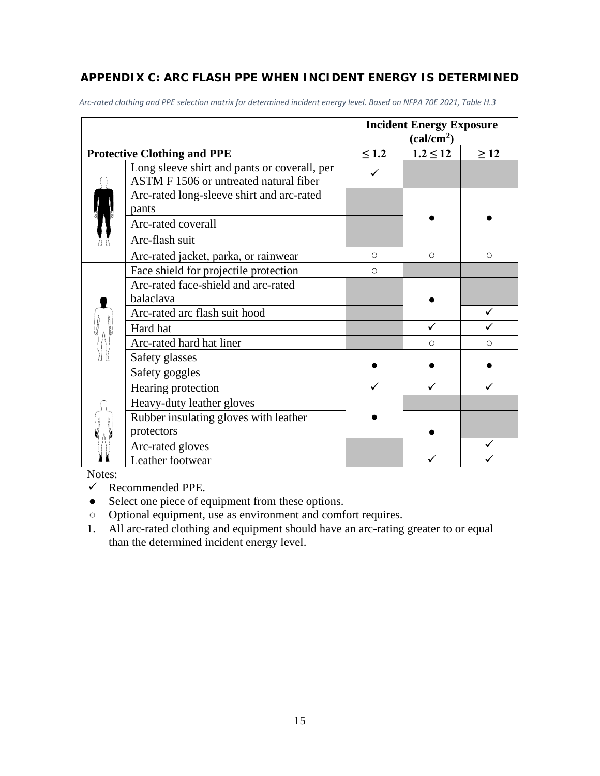## **APPENDIX C: ARC FLASH PPE WHEN INCIDENT ENERGY IS DETERMINED**

|                                                                                        | <b>Incident Energy Exposure</b><br>(cal/cm <sup>2</sup> ) |              |           |
|----------------------------------------------------------------------------------------|-----------------------------------------------------------|--------------|-----------|
| <b>Protective Clothing and PPE</b>                                                     | $\leq 1.2$                                                | $1.2 \le 12$ | $\geq$ 12 |
| Long sleeve shirt and pants or coverall, per<br>ASTM F 1506 or untreated natural fiber |                                                           |              |           |
| Arc-rated long-sleeve shirt and arc-rated<br>pants                                     |                                                           |              |           |
| Arc-rated coverall                                                                     |                                                           |              |           |
| Arc-flash suit                                                                         |                                                           |              |           |
| Arc-rated jacket, parka, or rainwear                                                   | $\circ$                                                   | $\circ$      | $\circ$   |
| Face shield for projectile protection                                                  | $\circ$                                                   |              |           |
| Arc-rated face-shield and arc-rated<br>balaclava                                       |                                                           |              |           |
| Arc-rated arc flash suit hood                                                          |                                                           |              |           |
| Hard hat                                                                               |                                                           | ✓            |           |
| Arc-rated hard hat liner                                                               |                                                           | Ο            | ∩         |
| Safety glasses                                                                         |                                                           |              |           |
| Safety goggles                                                                         |                                                           |              |           |
| Hearing protection                                                                     |                                                           |              |           |
| Heavy-duty leather gloves                                                              |                                                           |              |           |
| Rubber insulating gloves with leather                                                  |                                                           |              |           |
| protectors                                                                             |                                                           |              |           |
| Arc-rated gloves                                                                       |                                                           |              |           |
| Leather footwear                                                                       |                                                           |              |           |

*Arc-rated clothing and PPE selection matrix for determined incident energy level. Based on NFPA 70E 2021, Table H.3*

Notes:

- $\checkmark$  Recommended PPE.
- Select one piece of equipment from these options.
- Optional equipment, use as environment and comfort requires.
- 1. All arc-rated clothing and equipment should have an arc-rating greater to or equal than the determined incident energy level.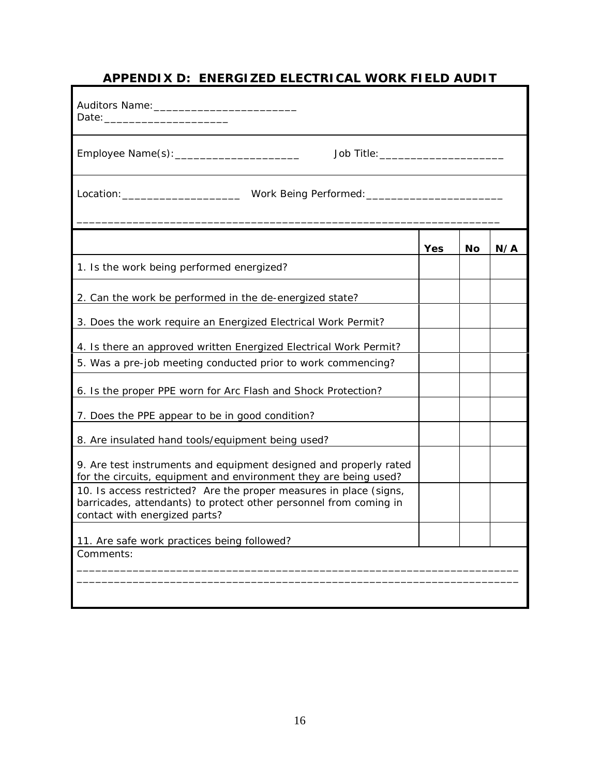# **APPENDIX D: ENERGIZED ELECTRICAL WORK FIELD AUDIT**

| Job Title: __________________________                                                                                                                                    |     |    |     |
|--------------------------------------------------------------------------------------------------------------------------------------------------------------------------|-----|----|-----|
|                                                                                                                                                                          |     |    |     |
|                                                                                                                                                                          | Yes | Nο | N/A |
| 1. Is the work being performed energized?                                                                                                                                |     |    |     |
| 2. Can the work be performed in the de-energized state?                                                                                                                  |     |    |     |
| 3. Does the work require an Energized Electrical Work Permit?                                                                                                            |     |    |     |
| 4. Is there an approved written Energized Electrical Work Permit?                                                                                                        |     |    |     |
| 5. Was a pre-job meeting conducted prior to work commencing?                                                                                                             |     |    |     |
| 6. Is the proper PPE worn for Arc Flash and Shock Protection?                                                                                                            |     |    |     |
| 7. Does the PPE appear to be in good condition?                                                                                                                          |     |    |     |
| 8. Are insulated hand tools/equipment being used?                                                                                                                        |     |    |     |
| 9. Are test instruments and equipment designed and properly rated<br>for the circuits, equipment and environment they are being used?                                    |     |    |     |
| 10. Is access restricted? Are the proper measures in place (signs,<br>barricades, attendants) to protect other personnel from coming in<br>contact with energized parts? |     |    |     |
| 11. Are safe work practices being followed?                                                                                                                              |     |    |     |
| Comments:                                                                                                                                                                |     |    |     |
|                                                                                                                                                                          |     |    |     |
|                                                                                                                                                                          |     |    |     |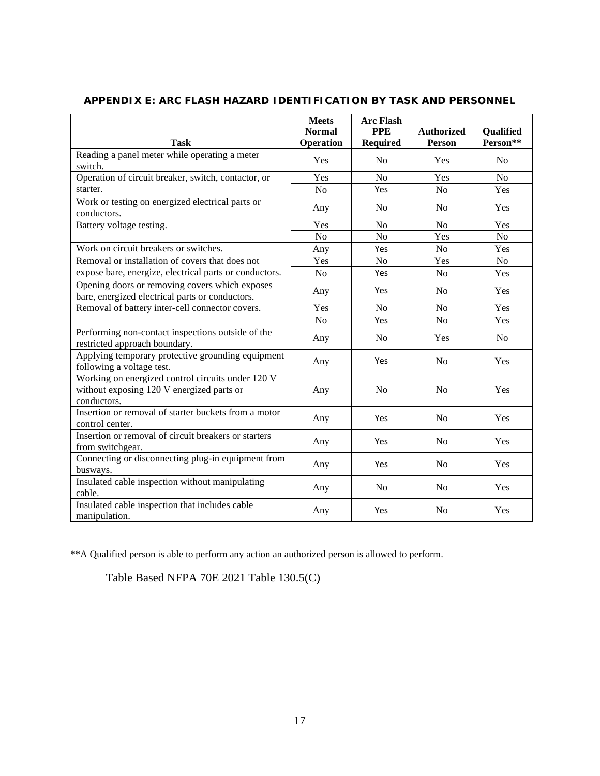|                                                                                                               | <b>Meets</b><br><b>Normal</b> | <b>Arc Flash</b><br><b>PPE</b> | <b>Authorized</b> | Qualified      |
|---------------------------------------------------------------------------------------------------------------|-------------------------------|--------------------------------|-------------------|----------------|
| <b>Task</b>                                                                                                   | Operation                     | <b>Required</b>                | Person            | Person**       |
| Reading a panel meter while operating a meter<br>switch.                                                      | Yes                           | N <sub>0</sub>                 | Yes               | N <sub>o</sub> |
| Operation of circuit breaker, switch, contactor, or                                                           | Yes                           | $\rm No$                       | Yes               | No             |
| starter.                                                                                                      | N <sub>o</sub>                | Yes                            | N <sub>o</sub>    | Yes            |
| Work or testing on energized electrical parts or<br>conductors.                                               | Any                           | N <sub>0</sub>                 | N <sub>0</sub>    | Yes            |
| Battery voltage testing.                                                                                      | Yes                           | N <sub>o</sub>                 | N <sub>o</sub>    | Yes            |
|                                                                                                               | N <sub>o</sub>                | N <sub>o</sub>                 | Yes               | N <sub>o</sub> |
| Work on circuit breakers or switches.                                                                         | Any                           | Yes                            | No                | Yes            |
| Removal or installation of covers that does not                                                               | Yes                           | N <sub>o</sub>                 | Yes               | N <sub>o</sub> |
| expose bare, energize, electrical parts or conductors.                                                        | N <sub>o</sub>                | Yes                            | N <sub>o</sub>    | Yes            |
| Opening doors or removing covers which exposes<br>bare, energized electrical parts or conductors.             | Any                           | Yes                            | N <sub>0</sub>    | Yes            |
| Removal of battery inter-cell connector covers.                                                               | Yes                           | N <sub>o</sub>                 | N <sub>o</sub>    | Yes            |
|                                                                                                               | N <sub>o</sub>                | Yes                            | No                | Yes            |
| Performing non-contact inspections outside of the<br>restricted approach boundary.                            | Any                           | N <sub>0</sub>                 | Yes               | N <sub>o</sub> |
| Applying temporary protective grounding equipment<br>following a voltage test.                                | Any                           | Yes                            | N <sub>0</sub>    | Yes            |
| Working on energized control circuits under 120 V<br>without exposing 120 V energized parts or<br>conductors. | Any                           | N <sub>0</sub>                 | N <sub>0</sub>    | Yes            |
| Insertion or removal of starter buckets from a motor<br>control center.                                       | Any                           | Yes                            | N <sub>o</sub>    | Yes            |
| Insertion or removal of circuit breakers or starters<br>from switchgear.                                      | Any                           | Yes                            | N <sub>o</sub>    | Yes            |
| Connecting or disconnecting plug-in equipment from<br>busways.                                                | Any                           | Yes                            | N <sub>0</sub>    | Yes            |
| Insulated cable inspection without manipulating<br>cable.                                                     | Any                           | N <sub>0</sub>                 | N <sub>0</sub>    | Yes            |
| Insulated cable inspection that includes cable<br>manipulation.                                               | Any                           | Yes                            | No                | Yes            |

## **APPENDIX E: ARC FLASH HAZARD IDENTIFICATION BY TASK AND PERSONNEL**

\*\*A Qualified person is able to perform any action an authorized person is allowed to perform.

Table Based NFPA 70E 2021 Table 130.5(C)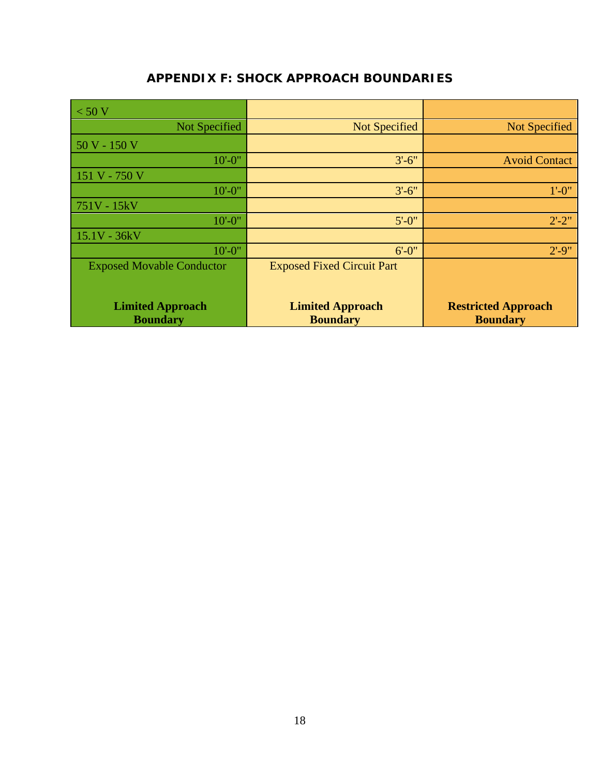## **APPENDIX F: SHOCK APPROACH BOUNDARIES**

| $\vert$ < 50 V                   |                                   |                            |
|----------------------------------|-----------------------------------|----------------------------|
| Not Specified                    | Not Specified                     | <b>Not Specified</b>       |
| $50V - 150V$                     |                                   |                            |
| $10' - 0''$                      | $3'-6''$                          | <b>Avoid Contact</b>       |
| $151 V - 750 V$                  |                                   |                            |
| $10' - 0''$                      | $3'-6''$                          | $1' - 0''$                 |
| $751V - 15kV$                    |                                   |                            |
| $10' - 0''$                      | $5' - 0''$                        | $2' - 2''$                 |
| $15.1V - 36kV$                   |                                   |                            |
| $10' - 0''$                      | $6' - 0''$                        | $2' - 9''$                 |
| <b>Exposed Movable Conductor</b> | <b>Exposed Fixed Circuit Part</b> |                            |
|                                  |                                   |                            |
| <b>Limited Approach</b>          | <b>Limited Approach</b>           | <b>Restricted Approach</b> |
| <b>Boundary</b>                  | <b>Boundary</b>                   | <b>Boundary</b>            |